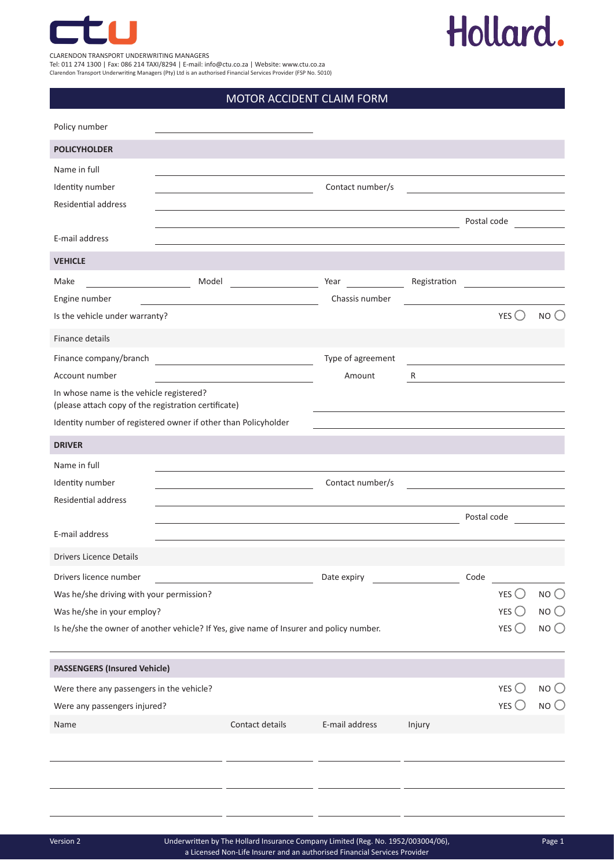

### Hollard.

CLARENDON TRANSPORT UNDERWRITING MANAGERS

Tel: 011 274 1300 | Fax: 086 214 TAXI/8294 | E-mail: info@ctu.co.za | Website: www.ctu.co.za Clarendon Transport Underwriting Managers (Pty) Ltd is an authorised Financial Services Provider (FSP No. 5010)

### MOTOR ACCIDENT CLAIM FORM

| Policy number                                                                                    |       |                                                                                           |                   |                                                                            |             |                                                            |                 |
|--------------------------------------------------------------------------------------------------|-------|-------------------------------------------------------------------------------------------|-------------------|----------------------------------------------------------------------------|-------------|------------------------------------------------------------|-----------------|
| <b>POLICYHOLDER</b>                                                                              |       |                                                                                           |                   |                                                                            |             |                                                            |                 |
| Name in full                                                                                     |       |                                                                                           |                   |                                                                            |             |                                                            |                 |
| Identity number                                                                                  |       |                                                                                           | Contact number/s  | <u> 1989 - Andrea Andrew Maria (h. 1989).</u>                              |             |                                                            |                 |
| <b>Residential address</b>                                                                       |       |                                                                                           |                   |                                                                            |             |                                                            |                 |
|                                                                                                  |       | the control of the control of the control of the control of the control of the control of |                   |                                                                            | Postal code |                                                            |                 |
| E-mail address                                                                                   |       |                                                                                           |                   |                                                                            |             |                                                            |                 |
| <b>VEHICLE</b>                                                                                   |       |                                                                                           |                   |                                                                            |             |                                                            |                 |
| Make                                                                                             | Model |                                                                                           | Year              | Registration                                                               |             |                                                            |                 |
| Engine number                                                                                    |       | the control of the control of the control of the control of the control of the control of | Chassis number    |                                                                            |             |                                                            |                 |
| Is the vehicle under warranty?                                                                   |       |                                                                                           |                   |                                                                            |             | YES                                                        | NO()            |
| Finance details                                                                                  |       |                                                                                           |                   |                                                                            |             |                                                            |                 |
| Finance company/branch                                                                           |       | <u> 1989 - Johann Barbara, martin amerikan basal da</u>                                   | Type of agreement | the control of the control of the control of the control of the control of |             |                                                            |                 |
| Account number                                                                                   |       | the control of the control of the control of the control of the control of the control of | Amount            | R                                                                          |             | <u> 1989 - Johann Stein, mars an de Brazilia (b. 1989)</u> |                 |
| In whose name is the vehicle registered?<br>(please attach copy of the registration certificate) |       |                                                                                           |                   |                                                                            |             |                                                            |                 |
| Identity number of registered owner if other than Policyholder                                   |       |                                                                                           |                   |                                                                            |             |                                                            |                 |
| <b>DRIVER</b>                                                                                    |       |                                                                                           |                   |                                                                            |             |                                                            |                 |
| Name in full                                                                                     |       |                                                                                           |                   |                                                                            |             |                                                            |                 |
| Identity number                                                                                  |       |                                                                                           | Contact number/s  | <u> 1980 - Jan Barbara Barbara, manazarta </u>                             |             |                                                            |                 |
| Residential address                                                                              |       |                                                                                           |                   |                                                                            |             |                                                            |                 |
|                                                                                                  |       |                                                                                           |                   |                                                                            | Postal code |                                                            |                 |
| E-mail address                                                                                   |       |                                                                                           |                   |                                                                            |             |                                                            |                 |
| <b>Drivers Licence Details</b>                                                                   |       |                                                                                           |                   |                                                                            |             |                                                            |                 |
| Drivers licence number                                                                           |       |                                                                                           | Date expiry       |                                                                            | Code        |                                                            |                 |
| Was he/she driving with your permission?                                                         |       |                                                                                           |                   |                                                                            |             | YES                                                        | NO              |
| Was he/she in your employ?                                                                       |       |                                                                                           |                   |                                                                            |             | YES $\bigcirc$                                             | $NO$ $O$        |
| Is he/she the owner of another vehicle? If Yes, give name of Insurer and policy number.          |       |                                                                                           |                   |                                                                            |             | YES $\bigcirc$                                             | NO <sub>O</sub> |
| <b>PASSENGERS (Insured Vehicle)</b>                                                              |       |                                                                                           |                   |                                                                            |             |                                                            |                 |
| Were there any passengers in the vehicle?                                                        |       |                                                                                           |                   |                                                                            |             | YES $\bigcirc$                                             | NO <sub>O</sub> |
| Were any passengers injured?                                                                     |       |                                                                                           |                   |                                                                            |             | YES $\bigcirc$                                             | NO <sub>0</sub> |
| Name                                                                                             |       | Contact details                                                                           | E-mail address    | Injury                                                                     |             |                                                            |                 |
|                                                                                                  |       |                                                                                           |                   |                                                                            |             |                                                            |                 |
|                                                                                                  |       |                                                                                           |                   |                                                                            |             |                                                            |                 |
|                                                                                                  |       |                                                                                           |                   |                                                                            |             |                                                            |                 |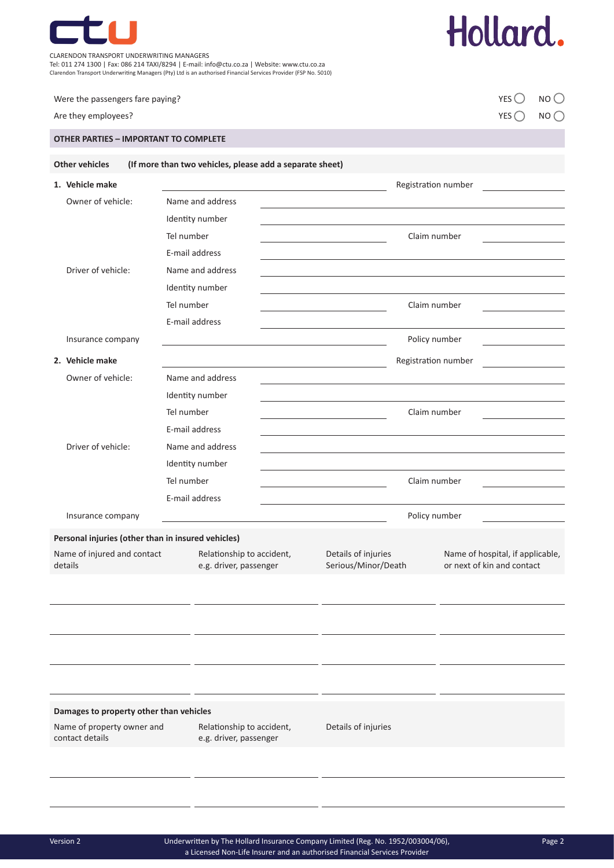

CLARENDON TRANSPORT UNDERWRITING MANAGERS

Tel: 011 274 1300 | Fax: 086 214 TAXI/8294 | E-mail: info@ctu.co.za | Website: www.ctu.co.za

Clarendon Transport Underwriting Managers (Pty) Ltd is an authorised Financial Services Provider (FSP No. 5010)

| Were the passengers fare paying?                   |                                                          |                                                     |                                                                                                                                                                                                                               |                                            |                                                                | YES()           | NO <sub>O</sub> |
|----------------------------------------------------|----------------------------------------------------------|-----------------------------------------------------|-------------------------------------------------------------------------------------------------------------------------------------------------------------------------------------------------------------------------------|--------------------------------------------|----------------------------------------------------------------|-----------------|-----------------|
| Are they employees?                                |                                                          |                                                     |                                                                                                                                                                                                                               |                                            |                                                                | $YES$ $\bigcap$ | NO()            |
| <b>OTHER PARTIES - IMPORTANT TO COMPLETE</b>       |                                                          |                                                     |                                                                                                                                                                                                                               |                                            |                                                                |                 |                 |
| <b>Other vehicles</b>                              | (If more than two vehicles, please add a separate sheet) |                                                     |                                                                                                                                                                                                                               |                                            |                                                                |                 |                 |
| 1. Vehicle make                                    |                                                          |                                                     |                                                                                                                                                                                                                               | Registration number                        |                                                                |                 |                 |
| Owner of vehicle:                                  | Name and address                                         |                                                     | the control of the control of the control of the control of the control of the control of the control of the control of the control of the control of the control of the control of the control of the control of the control |                                            |                                                                |                 |                 |
|                                                    | Identity number                                          |                                                     |                                                                                                                                                                                                                               |                                            |                                                                |                 |                 |
|                                                    | Tel number                                               |                                                     | the control of the control of the control of the control of                                                                                                                                                                   | Claim number                               |                                                                |                 |                 |
|                                                    | E-mail address                                           |                                                     |                                                                                                                                                                                                                               |                                            |                                                                |                 |                 |
| Driver of vehicle:                                 | Name and address                                         |                                                     |                                                                                                                                                                                                                               |                                            |                                                                |                 |                 |
|                                                    | Identity number                                          |                                                     |                                                                                                                                                                                                                               |                                            |                                                                |                 |                 |
|                                                    | Tel number                                               |                                                     |                                                                                                                                                                                                                               | Claim number                               |                                                                |                 |                 |
|                                                    | E-mail address                                           |                                                     |                                                                                                                                                                                                                               |                                            |                                                                |                 |                 |
| Insurance company                                  |                                                          |                                                     | <u> 1980 - Johann Barbara, martxa alemaniar a</u>                                                                                                                                                                             |                                            | Policy number<br><u> 1980 - Johann Barbara, martxa a</u>       |                 |                 |
| 2. Vehicle make                                    |                                                          |                                                     |                                                                                                                                                                                                                               | Registration number                        |                                                                |                 |                 |
| Owner of vehicle:                                  | Name and address                                         |                                                     |                                                                                                                                                                                                                               |                                            |                                                                |                 |                 |
|                                                    | Identity number                                          |                                                     |                                                                                                                                                                                                                               |                                            |                                                                |                 |                 |
|                                                    | Tel number                                               |                                                     |                                                                                                                                                                                                                               | Claim number                               |                                                                |                 |                 |
|                                                    | E-mail address                                           |                                                     |                                                                                                                                                                                                                               |                                            |                                                                |                 |                 |
| Driver of vehicle:                                 | Name and address                                         |                                                     |                                                                                                                                                                                                                               |                                            |                                                                |                 |                 |
|                                                    | Identity number                                          |                                                     |                                                                                                                                                                                                                               |                                            |                                                                |                 |                 |
|                                                    | Tel number                                               |                                                     |                                                                                                                                                                                                                               | Claim number                               |                                                                |                 |                 |
|                                                    | E-mail address                                           |                                                     |                                                                                                                                                                                                                               |                                            |                                                                |                 |                 |
| Insurance company                                  |                                                          |                                                     |                                                                                                                                                                                                                               | Policy number                              |                                                                |                 |                 |
| Personal injuries (other than in insured vehicles) |                                                          |                                                     |                                                                                                                                                                                                                               |                                            |                                                                |                 |                 |
| Name of injured and contact<br>details             |                                                          | Relationship to accident,<br>e.g. driver, passenger |                                                                                                                                                                                                                               | Details of injuries<br>Serious/Minor/Death | Name of hospital, if applicable,<br>or next of kin and contact |                 |                 |
|                                                    |                                                          |                                                     |                                                                                                                                                                                                                               |                                            |                                                                |                 |                 |
|                                                    |                                                          |                                                     |                                                                                                                                                                                                                               |                                            |                                                                |                 |                 |
|                                                    |                                                          |                                                     |                                                                                                                                                                                                                               |                                            |                                                                |                 |                 |
|                                                    |                                                          |                                                     |                                                                                                                                                                                                                               |                                            |                                                                |                 |                 |
| Damages to property other than vehicles            |                                                          |                                                     |                                                                                                                                                                                                                               |                                            |                                                                |                 |                 |
| Name of property owner and<br>contact details      | Relationship to accident,<br>e.g. driver, passenger      | Details of injuries                                 |                                                                                                                                                                                                                               |                                            |                                                                |                 |                 |
|                                                    |                                                          |                                                     |                                                                                                                                                                                                                               |                                            |                                                                |                 |                 |

Hollard.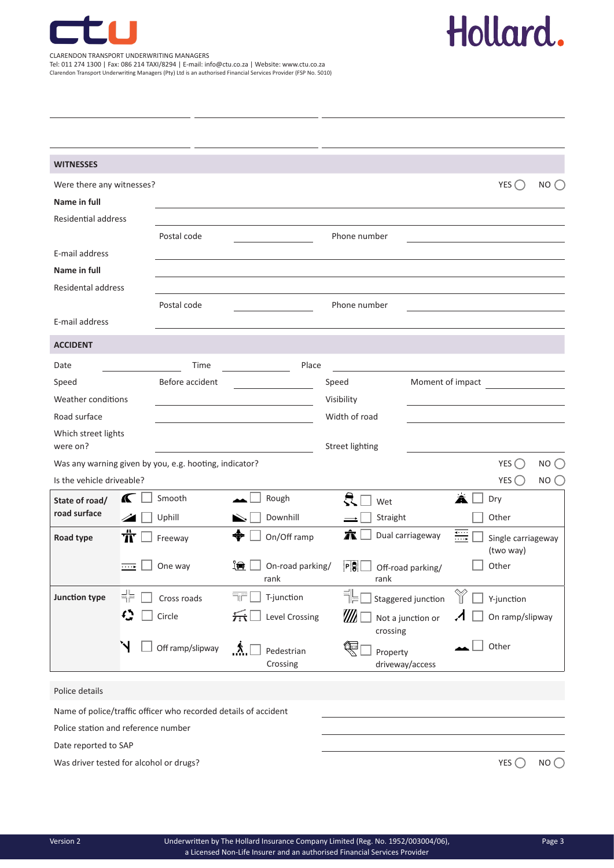

# Hollard.

CLARENDON TRANSPORT UNDERWRITING MANAGERS Tel: 011 274 1300 | Fax: 086 214 TAXI/8294 | E-mail: info@ctu.co.za | Website: www.ctu.co.za Clarendon Transport Underwriting Managers (Pty) Ltd is an authorised Financial Services Provider (FSP No. 5010)

| <b>WITNESSES</b>                                                |                     |                  |                                                                                                             |                                 |                   |                            |                                      |                |
|-----------------------------------------------------------------|---------------------|------------------|-------------------------------------------------------------------------------------------------------------|---------------------------------|-------------------|----------------------------|--------------------------------------|----------------|
| Were there any witnesses?                                       |                     |                  |                                                                                                             |                                 |                   |                            | $YES$ $\bigcirc$                     | NO()           |
| Name in full                                                    |                     |                  |                                                                                                             |                                 |                   |                            |                                      |                |
| <b>Residential address</b>                                      |                     |                  |                                                                                                             |                                 |                   |                            |                                      |                |
|                                                                 |                     | Postal code      |                                                                                                             | Phone number                    |                   |                            |                                      |                |
| E-mail address                                                  |                     |                  |                                                                                                             |                                 |                   |                            |                                      |                |
| Name in full                                                    |                     |                  |                                                                                                             |                                 |                   |                            |                                      |                |
| <b>Residental address</b>                                       |                     |                  |                                                                                                             |                                 |                   |                            |                                      |                |
|                                                                 |                     | Postal code      |                                                                                                             | Phone number                    |                   |                            |                                      |                |
| E-mail address                                                  |                     |                  |                                                                                                             |                                 |                   |                            |                                      |                |
| <b>ACCIDENT</b>                                                 |                     |                  |                                                                                                             |                                 |                   |                            |                                      |                |
| Date                                                            |                     | Time             | Place                                                                                                       |                                 |                   |                            |                                      |                |
| Speed                                                           |                     | Before accident  |                                                                                                             | Speed                           | Moment of impact  |                            |                                      |                |
| Weather conditions                                              |                     |                  |                                                                                                             | Visibility                      |                   |                            |                                      |                |
| Road surface                                                    |                     |                  |                                                                                                             | Width of road                   |                   |                            |                                      |                |
| Which street lights<br>were on?                                 |                     |                  |                                                                                                             | <b>Street lighting</b>          |                   |                            |                                      |                |
| Was any warning given by you, e.g. hooting, indicator?          |                     |                  |                                                                                                             |                                 |                   |                            | YES                                  | $NO$ $\bigcap$ |
| Is the vehicle driveable?                                       |                     |                  |                                                                                                             |                                 |                   |                            | YES()                                | NO (           |
| <b>K</b><br>State of road/                                      |                     | Smooth           | Rough                                                                                                       | 븠<br>Wet                        |                   | Ă                          | Dry                                  |                |
| road surface                                                    | 24                  | Uphill           | Downhill<br>$\blacktriangleright$                                                                           | Straight                        |                   |                            | Other                                |                |
| Road type                                                       | ŤΓ                  | Freeway          | ♣<br>On/Off ramp                                                                                            | Â                               | Dual carriageway  | ₩                          | Single carriageway<br>(two way)      |                |
|                                                                 | $\overline{\cdots}$ | One way          | <u>'e</u><br>On-road parking/<br>rank                                                                       | PQ<br>rank                      | Off-road parking/ |                            | Other                                |                |
| <b>Junction type</b>                                            | ╬□                  | Cross roads      | $\overline{\overline{\mathbf{u}}$ T-junction                                                                | $\mathbb{E}$ Staggered junction |                   |                            | $\mathbb{\hat{V}}$ $\Box$ Y-junction |                |
|                                                                 | Q                   | Circle           | $\sqrt{1+\sqrt{1+\frac{1}{n}}}\sqrt{1-\sqrt{1+\frac{1}{n}}}\sqrt{1-\sqrt{1+\frac{1}{n}}}\sqrt{\frac{1}{n}}$ | $\ell\ell\ell$ [<br>crossing    | Not a junction or | $\boldsymbol{\mathcal{A}}$ | On ramp/slipway                      |                |
| `N                                                              |                     | Off ramp/slipway | $\Lambda$<br>Pedestrian<br>Crossing                                                                         | Ç<br>Property                   | driveway/access   |                            | Other                                |                |
| Police details                                                  |                     |                  |                                                                                                             |                                 |                   |                            |                                      |                |
| Name of police/traffic officer who recorded details of accident |                     |                  |                                                                                                             |                                 |                   |                            |                                      |                |
| Police station and reference number                             |                     |                  |                                                                                                             |                                 |                   |                            |                                      |                |
| Date reported to SAP                                            |                     |                  |                                                                                                             |                                 |                   |                            |                                      |                |
| Was driver tested for alcohol or drugs?                         |                     |                  |                                                                                                             |                                 |                   |                            | YES $\bigcap$                        | NO()           |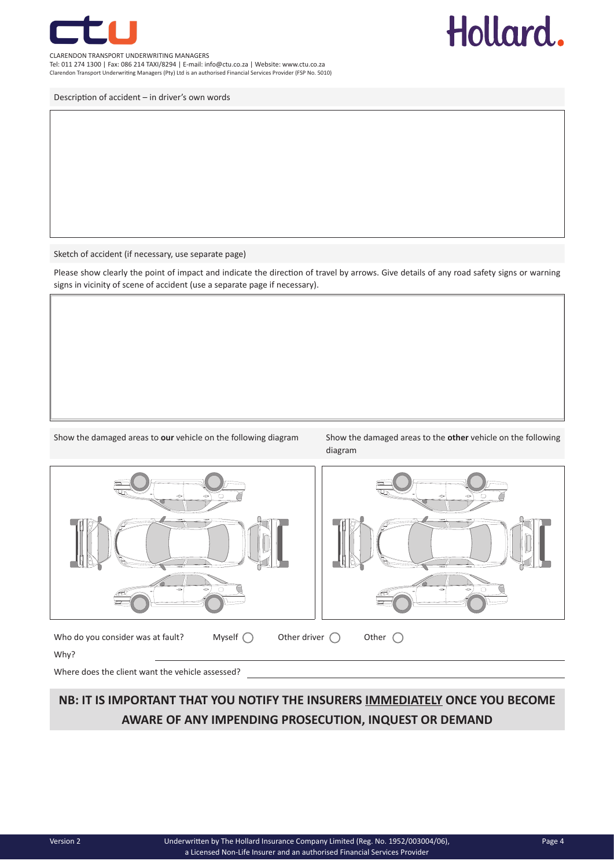

#### CLARENDON TRANSPORT UNDERWRITING MANAGERS Tel: 011 274 1300 | Fax: 086 214 TAXI/8294 | E-mail: info@ctu.co.za | Website: www.ctu.co.za

Clarendon Transport Underwriting Managers (Pty) Ltd is an authorised Financial Services Provider (FSP No. 5010)

Description of accident – in driver's own words

Sketch of accident (if necessary, use separate page)

Please show clearly the point of impact and indicate the direction of travel by arrows. Give details of any road safety signs or warning signs in vicinity of scene of accident (use a separate page if necessary).

Show the damaged areas to **our** vehicle on the following diagram Show the damaged areas to the **other** vehicle on the following

diagram

Hollard.



Who do you consider was at fault? Myself  $\bigcirc$  Other driver  $\bigcirc$  Other  $\bigcirc$ 



Why?

Where does the client want the vehicle assessed?

### **NB: IT IS IMPORTANT THAT YOU NOTIFY THE INSURERS IMMEDIATELY ONCE YOU BECOME AWARE OF ANY IMPENDING PROSECUTION, INQUEST OR DEMAND**